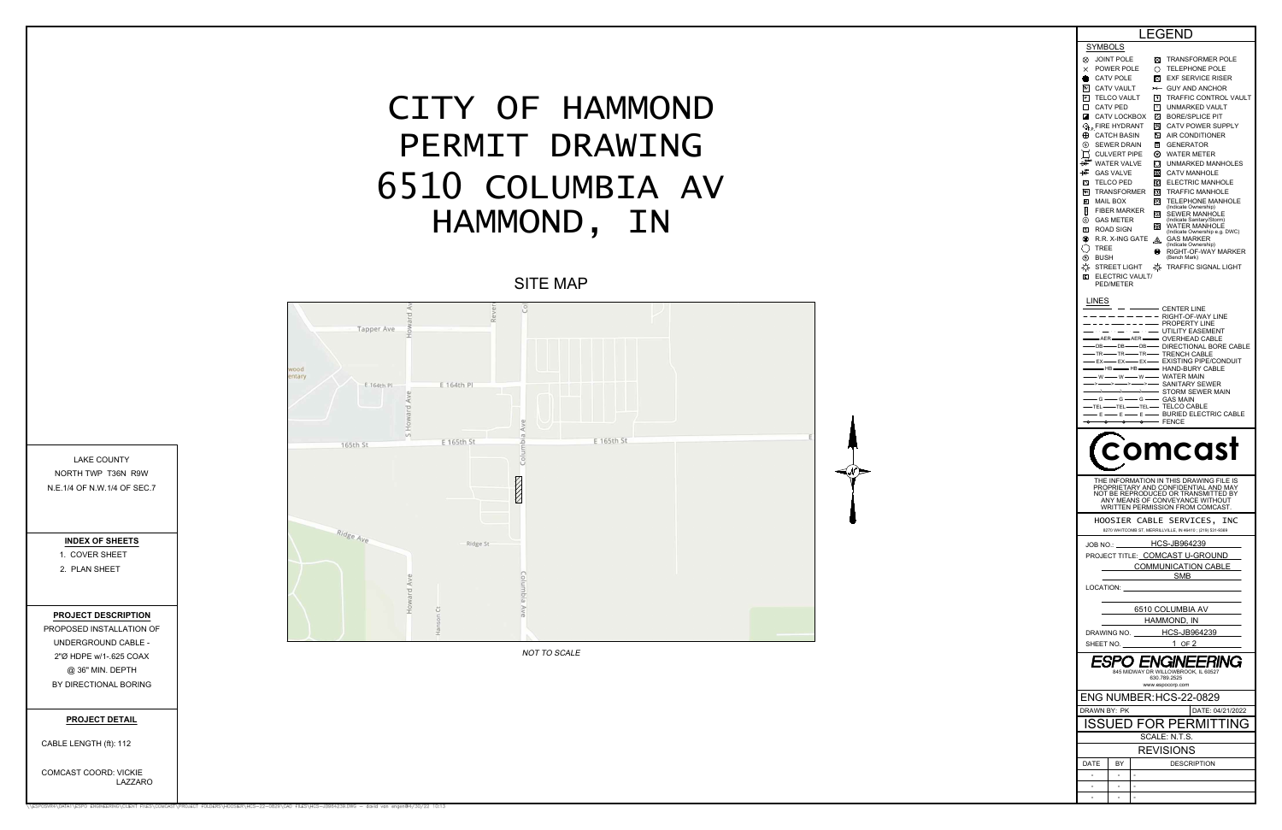|                                                                                  | LEGEND                                                                                                                                                                                                                                                                                                                                                                                                                                                                                      |  |  |
|----------------------------------------------------------------------------------|---------------------------------------------------------------------------------------------------------------------------------------------------------------------------------------------------------------------------------------------------------------------------------------------------------------------------------------------------------------------------------------------------------------------------------------------------------------------------------------------|--|--|
|                                                                                  | SYMBOLS                                                                                                                                                                                                                                                                                                                                                                                                                                                                                     |  |  |
|                                                                                  | ⊗<br>⊠<br>JOINT POLE<br><b>TRANSFORMER POLE</b><br>$\times$<br>POWER POLE<br>Ο<br><b>TELEPHONE POLE</b>                                                                                                                                                                                                                                                                                                                                                                                     |  |  |
|                                                                                  | <b>CATV POLE</b><br>⊠<br><b>EXF SERVICE RISER</b><br>×                                                                                                                                                                                                                                                                                                                                                                                                                                      |  |  |
|                                                                                  | $\overline{N}$<br><b>CATV VAULT</b><br><b>GUY AND ANCHOR</b><br>$\rightarrow$<br>$\boxed{\mathsf{P}}$<br>$\lceil \tau \rceil$<br><b>TRAFFIC CONTROL VAULT</b><br><b>TELCO VAULT</b>                                                                                                                                                                                                                                                                                                         |  |  |
|                                                                                  | D<br><b>CATV PED</b><br>$\sqrt{v}$<br><b>UNMARKED VAULT</b>                                                                                                                                                                                                                                                                                                                                                                                                                                 |  |  |
|                                                                                  | ◪<br>CATV LOCKBOX<br>Ø<br><b>BORE/SPLICE PIT</b><br>网<br><b>CATV POWER SUPPLY</b><br>$\mathbb{Q}_p$ Fire hydrant                                                                                                                                                                                                                                                                                                                                                                            |  |  |
|                                                                                  | ⊕<br>Λc<br><b>CATCH BASIN</b><br><b>AIR CONDITIONER</b>                                                                                                                                                                                                                                                                                                                                                                                                                                     |  |  |
|                                                                                  | (s)<br>G<br>SEWER DRAIN<br><b>GENERATOR</b><br>⊚<br><b>CULVERT PIPE</b><br><b>WATER METER</b>                                                                                                                                                                                                                                                                                                                                                                                               |  |  |
|                                                                                  | B <sub>0</sub><br><b>WATER VALVE</b><br>О<br>UNMARKED MANHOLES                                                                                                                                                                                                                                                                                                                                                                                                                              |  |  |
|                                                                                  | 協<br><b>GAS VALVE</b><br> ⊛<br><b>CATV MANHOLE</b>                                                                                                                                                                                                                                                                                                                                                                                                                                          |  |  |
|                                                                                  | ∞<br>O<br><b>ELECTRIC MANHOLE</b><br>TELCO PED<br>TR<br>⊙<br><b>TRANSFORMER</b><br><b>TRAFFIC MANHOLE</b>                                                                                                                                                                                                                                                                                                                                                                                   |  |  |
|                                                                                  | 囸<br>O<br>MAIL BOX<br><b>TELEPHONE MANHOLE</b><br>(Indicate Ownership)                                                                                                                                                                                                                                                                                                                                                                                                                      |  |  |
|                                                                                  | B<br><b>FIBER MARKER</b><br>ි<br>SEWER MANHOLE<br>⊚<br><b>GAS METER</b><br>(Indicate Sanitary/Storm)                                                                                                                                                                                                                                                                                                                                                                                        |  |  |
|                                                                                  | ⊚<br><b>WATER MANHOLE</b><br>同<br>ROAD SIGN<br>(Indicate Ownership e.g. DWC)                                                                                                                                                                                                                                                                                                                                                                                                                |  |  |
|                                                                                  | ⊗<br>R.R. X-ING GATE<br>GAS MARKER<br>෴<br>(Indicate Ownership)<br>TREE                                                                                                                                                                                                                                                                                                                                                                                                                     |  |  |
|                                                                                  | ◉<br>RIGHT-OF-WAY MARKER<br>⊕<br>(Bench Mark)<br>BUSH                                                                                                                                                                                                                                                                                                                                                                                                                                       |  |  |
|                                                                                  | ☆<br>₩<br>STREET LIGHT<br><b>TRAFFIC SIGNAL LIGHT</b>                                                                                                                                                                                                                                                                                                                                                                                                                                       |  |  |
|                                                                                  | ▣<br>ELECTRIC VAULT/<br>PED/METER                                                                                                                                                                                                                                                                                                                                                                                                                                                           |  |  |
|                                                                                  | LINES<br>- CENTER LINE                                                                                                                                                                                                                                                                                                                                                                                                                                                                      |  |  |
|                                                                                  | RIGHT-OF-WAY LINE<br>PROPERTY LINE                                                                                                                                                                                                                                                                                                                                                                                                                                                          |  |  |
|                                                                                  | $\sim$ $\sim$ $\sim$<br>UTILITY EASEMENT<br>• OVERHEAD CABLE<br>AER-<br>$\overline{\phantom{a}}$ aer $\overline{\phantom{a}}$                                                                                                                                                                                                                                                                                                                                                               |  |  |
|                                                                                  | $\bullet$ DIRECTIONAL BORE CABLE<br>-DB-<br>-DB-<br>-DB-                                                                                                                                                                                                                                                                                                                                                                                                                                    |  |  |
|                                                                                  |                                                                                                                                                                                                                                                                                                                                                                                                                                                                                             |  |  |
|                                                                                  | TRACK THE TRENCH CABLE<br>TRACK THE TRENCH CABLE<br>TRACK THE TRENCH CABLE<br>TRACK THE TRENCH CABLE<br>TRACK TRACK PIPE/CONDUIT<br>TRACK TRACK TRACK TRACK<br>TRACK TRACK TRACK TRACK<br>TRACK TRACK TRACK TRACK<br>TRACK TRACK TRACK TRACK T                                                                                                                                                                                                                                              |  |  |
|                                                                                  |                                                                                                                                                                                                                                                                                                                                                                                                                                                                                             |  |  |
|                                                                                  |                                                                                                                                                                                                                                                                                                                                                                                                                                                                                             |  |  |
|                                                                                  | $\overline{\phantom{a}}$ $\overline{\phantom{a}}$ $\overline{\phantom{a}}$ $\overline{\phantom{a}}$ $\overline{\phantom{a}}$ $\overline{\phantom{a}}$ $\overline{\phantom{a}}$ $\overline{\phantom{a}}$ $\overline{\phantom{a}}$ $\overline{\phantom{a}}$ $\overline{\phantom{a}}$ $\overline{\phantom{a}}$ $\overline{\phantom{a}}$ $\overline{\phantom{a}}$ $\overline{\phantom{a}}$ $\overline{\phantom{a}}$ $\overline{\phantom{a}}$ $\overline{\phantom{a}}$ $\overline{\$<br>-o-<br>⊶ |  |  |
|                                                                                  |                                                                                                                                                                                                                                                                                                                                                                                                                                                                                             |  |  |
|                                                                                  | comcast                                                                                                                                                                                                                                                                                                                                                                                                                                                                                     |  |  |
|                                                                                  | THE INFORMATION IN THIS DRAWING FILE IS<br>PROPRIETARY AND CONFIDENTIAL AND MAY<br>NOT BE REPRODUCED OR TRANSMITTED BY<br>ANY MEANS OF CONVEYANCE WITHOUT<br>WRITTEN PERMISSION FROM COMCAST.                                                                                                                                                                                                                                                                                               |  |  |
|                                                                                  | HOOSIER CABLE SERVICES, INC                                                                                                                                                                                                                                                                                                                                                                                                                                                                 |  |  |
|                                                                                  | 8270 WHITCOMB ST, MERRILLVILLE, IN 46410; (219) 531-9369                                                                                                                                                                                                                                                                                                                                                                                                                                    |  |  |
|                                                                                  | JOB NO.: HCS-JB964239                                                                                                                                                                                                                                                                                                                                                                                                                                                                       |  |  |
|                                                                                  | PROJECT TITLE: COMCAST U-GROUND                                                                                                                                                                                                                                                                                                                                                                                                                                                             |  |  |
|                                                                                  | COMMUNICATION CABLE<br><u>SMB</u>                                                                                                                                                                                                                                                                                                                                                                                                                                                           |  |  |
|                                                                                  | LOCATION:                                                                                                                                                                                                                                                                                                                                                                                                                                                                                   |  |  |
|                                                                                  | 6510 COLUMBIA AV                                                                                                                                                                                                                                                                                                                                                                                                                                                                            |  |  |
|                                                                                  | HAMMOND, IN                                                                                                                                                                                                                                                                                                                                                                                                                                                                                 |  |  |
|                                                                                  | DRAWING NO. HCS-JB964239                                                                                                                                                                                                                                                                                                                                                                                                                                                                    |  |  |
|                                                                                  | $1$ OF 2<br>SHEET NO.                                                                                                                                                                                                                                                                                                                                                                                                                                                                       |  |  |
| ESPO ENGIL<br><b>FING</b><br>845 MIDWAY DR WILLOWBROOK, IL 60527<br>630.789.2525 |                                                                                                                                                                                                                                                                                                                                                                                                                                                                                             |  |  |
|                                                                                  | www.espocorp.com                                                                                                                                                                                                                                                                                                                                                                                                                                                                            |  |  |
|                                                                                  |                                                                                                                                                                                                                                                                                                                                                                                                                                                                                             |  |  |
|                                                                                  | ENG NUMBER: HCS-22-0829<br>DRAWN BY: PK<br>DATE: 04/21/2022                                                                                                                                                                                                                                                                                                                                                                                                                                 |  |  |
|                                                                                  |                                                                                                                                                                                                                                                                                                                                                                                                                                                                                             |  |  |
|                                                                                  | ISSUED FOR PERMITTING<br>SCALE: N.T.S.                                                                                                                                                                                                                                                                                                                                                                                                                                                      |  |  |
|                                                                                  | <b>REVISIONS</b>                                                                                                                                                                                                                                                                                                                                                                                                                                                                            |  |  |
|                                                                                  | DATE<br>BY<br><b>DESCRIPTION</b>                                                                                                                                                                                                                                                                                                                                                                                                                                                            |  |  |
|                                                                                  |                                                                                                                                                                                                                                                                                                                                                                                                                                                                                             |  |  |
|                                                                                  |                                                                                                                                                                                                                                                                                                                                                                                                                                                                                             |  |  |



UNDERGROUND CABLE -<br>2"Ø HDPE w/1-.625 COAX<br>@ 36" MIN. DEPTH<br>BY DIRECTIONAL BORING<br>**PROJECT DETAIL** 

<mark>PROJECT DI</mark><br>CABLE LENGTH (ft): PROJECT DETAIL<br>CABLE LENGTH (ft): 112<br>COMCAST COORD: VICKIE